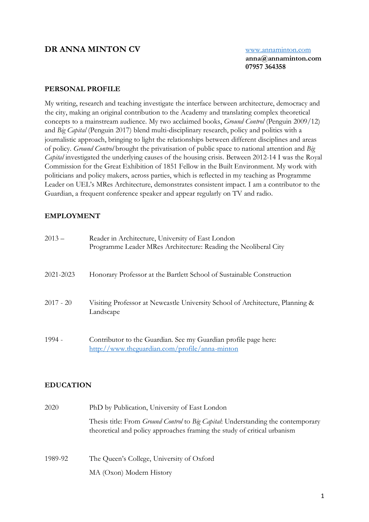# **DR ANNA MINTON CV** [www.annaminton.com](http://www.annaminton.com/)

**anna@annaminton.com 07957 364358**

#### **PERSONAL PROFILE**

My writing, research and teaching investigate the interface between architecture, democracy and the city, making an original contribution to the Academy and translating complex theoretical concepts to a mainstream audience. My two acclaimed books, *Ground Control* (Penguin 2009/12) and *Big Capital* (Penguin 2017) blend multi-disciplinary research, policy and politics with a journalistic approach, bringing to light the relationships between different disciplines and areas of policy. *Ground Control* brought the privatisation of public space to national attention and *Big Capital* investigated the underlying causes of the housing crisis. Between 2012-14 I was the Royal Commission for the Great Exhibition of 1851 Fellow in the Built Environment. My work with politicians and policy makers, across parties, which is reflected in my teaching as Programme Leader on UEL's MRes Architecture, demonstrates consistent impact. I am a contributor to the Guardian, a frequent conference speaker and appear regularly on TV and radio.

### **EMPLOYMENT**

| $2013 -$    | Reader in Architecture, University of East London<br>Programme Leader MRes Architecture: Reading the Neoliberal City |
|-------------|----------------------------------------------------------------------------------------------------------------------|
| 2021-2023   | Honorary Professor at the Bartlett School of Sustainable Construction                                                |
| $2017 - 20$ | Visiting Professor at Newcastle University School of Architecture, Planning &<br>Landscape                           |
| $1994 -$    | Contributor to the Guardian. See my Guardian profile page here:<br>http://www.theguardian.com/profile/anna-minton    |

### **EDUCATION**

| 2020    | PhD by Publication, University of East London                                                                                                                               |  |
|---------|-----------------------------------------------------------------------------------------------------------------------------------------------------------------------------|--|
|         | Thesis title: From <i>Ground Control</i> to <i>Big Capital</i> : Understanding the contemporary<br>theoretical and policy approaches framing the study of critical urbanism |  |
| 1989-92 | The Queen's College, University of Oxford                                                                                                                                   |  |
|         | MA (Oxon) Modern History                                                                                                                                                    |  |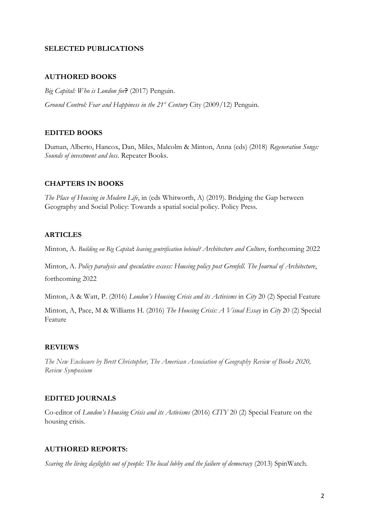#### **SELECTED PUBLICATIONS**

#### **AUTHORED BOOKS**

*Big Capital: Who is London for***?** (2017) Penguin.

*Ground Control: Fear and Happiness in the 21st Century* City (2009/12) Penguin.

# **EDITED BOOKS**

Duman, Alberto, Hancox, Dan, Miles, Malcolm & Minton, Anna (eds) (2018) *Regeneration Songs: Sounds of investment and loss*. Repeater Books.

### **CHAPTERS IN BOOKS**

*The Place of Housing in Modern Life*, in (eds Whitworth, A) (2019). Bridging the Gap between Geography and Social Policy: Towards a spatial social policy. Policy Press.

#### **ARTICLES**

Minton, A. *Building on Big Capital***:** *leaving gentrification behind? Architecture and Culture*, forthcoming 2022

Minton, A. *Policy paralysis and speculative excess: Housing policy post Grenfell*. *The Journal of Architecture*, forthcoming 2022

Minton, A & Watt, P. (2016) *London's Housing Crisis and its Activisms* in *City* 20 (2) Special Feature

Minton, A, Pace, M & Williams H. (2016) *The Housing Crisis: A Visual Essay* in *City* 20 (2) Special Feature

### **REVIEWS**

*The New Enclosure by Brett Christopher, The American Association of Geography Review of Books 2020, Review Symposium*

### **EDITED JOURNALS**

Co-editor of *London's Housing Crisis and its Activisms* (2016) *CITY* 20 (2) Special Feature on the housing crisis.

### **AUTHORED REPORTS:**

*Scaring the living daylights out of people: The local lobby and the failure of democracy* (2013) SpinWatch.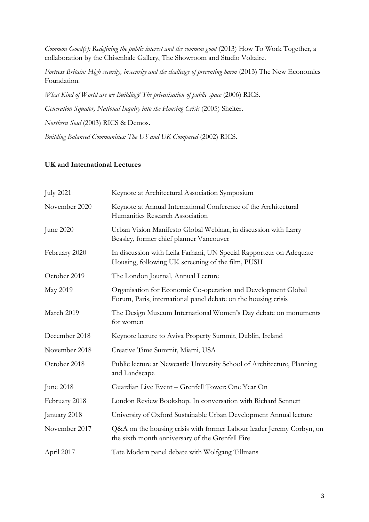*Common Good(s): Redefining the public interest and the common good* (2013) How To Work Together, a collaboration by the Chisenhale Gallery, The Showroom and Studio Voltaire.

*Fortress Britain: High security, insecurity and the challenge of preventing harm* (2013) The New Economics Foundation.

*What Kind of World are we Building? The privatisation of public space* (2006) RICS.

*Generation Squalor, National Inquiry into the Housing Crisis* (2005) Shelter.

*Northern Soul* (2003) RICS & Demos.

*Building Balanced Communities: The US and UK Compared* (2002) RICS.

### **UK and International Lectures**

| <b>July 2021</b> | Keynote at Architectural Association Symposium                                                                                  |
|------------------|---------------------------------------------------------------------------------------------------------------------------------|
| November 2020    | Keynote at Annual International Conference of the Architectural<br>Humanities Research Association                              |
| June 2020        | Urban Vision Manifesto Global Webinar, in discussion with Larry<br>Beasley, former chief planner Vancouver                      |
| February 2020    | In discussion with Leila Farhani, UN Special Rapporteur on Adequate<br>Housing, following UK screening of the film, PUSH        |
| October 2019     | The London Journal, Annual Lecture                                                                                              |
| May 2019         | Organisation for Economic Co-operation and Development Global<br>Forum, Paris, international panel debate on the housing crisis |
| March 2019       | The Design Museum International Women's Day debate on monuments<br>for women                                                    |
| December 2018    | Keynote lecture to Aviva Property Summit, Dublin, Ireland                                                                       |
| November 2018    | Creative Time Summit, Miami, USA                                                                                                |
| October 2018     | Public lecture at Newcastle University School of Architecture, Planning<br>and Landscape                                        |
| June 2018        | Guardian Live Event - Grenfell Tower: One Year On                                                                               |
| February 2018    | London Review Bookshop. In conversation with Richard Sennett                                                                    |
| January 2018     | University of Oxford Sustainable Urban Development Annual lecture                                                               |
| November 2017    | Q&A on the housing crisis with former Labour leader Jeremy Corbyn, on<br>the sixth month anniversary of the Grenfell Fire       |
| April 2017       | Tate Modern panel debate with Wolfgang Tillmans                                                                                 |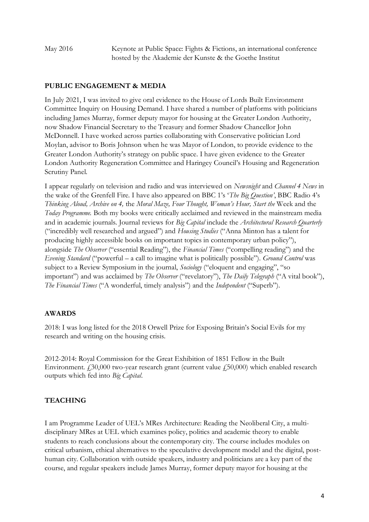May 2016 Keynote at Public Space: Fights & Fictions, an international conference hosted by the Akademie der Kunste & the Goethe Institut

# **PUBLIC ENGAGEMENT & MEDIA**

In July 2021, I was invited to give oral evidence to the House of Lords Built Environment Committee Inquiry on Housing Demand. I have shared a number of platforms with politicians including James Murray, former deputy mayor for housing at the Greater London Authority, now Shadow Financial Secretary to the Treasury and former Shadow Chancellor John McDonnell. I have worked across parties collaborating with Conservative politician Lord Moylan, advisor to Boris Johnson when he was Mayor of London, to provide evidence to the Greater London Authority's strategy on public space. I have given evidence to the Greater London Authority Regeneration Committee and Haringey Council's Housing and Regeneration Scrutiny Panel.

I appear regularly on television and radio and was interviewed on *Newsnight* and *Channel 4 News* in the wake of the Grenfell Fire. I have also appeared on BBC 1's '*The Big Question'*, BBC Radio 4's *Thinking Aloud, Archive on 4,* the *Moral Maze, Four Thought, Woman's Hour, Start the* Week and the *Today Programme.* Both my books were critically acclaimed and reviewed in the mainstream media and in academic journals. Journal reviews for *Big Capital* include the *Architectural Research Quarterly* ("incredibly well researched and argued") and *Housing Studies* ("Anna Minton has a talent for producing highly accessible books on important topics in contemporary urban policy"), alongside *The Observer* ("essential Reading"), the *Financial Times* ("compelling reading") and the *Evening Standard* ("powerful – a call to imagine what is politically possible"). *Ground Control* was subject to a Review Symposium in the journal, *Sociology* ("eloquent and engaging", "so important") and was acclaimed by *The Observer* ("revelatory"), *The Daily Telegraph* ("A vital book"), *The Financial Times* ("A wonderful, timely analysis") and the *Independent* ("Superb").

# **AWARDS**

2018: I was long listed for the 2018 Orwell Prize for Exposing Britain's Social Evils for my research and writing on the housing crisis.

2012-2014: Royal Commission for the Great Exhibition of 1851 Fellow in the Built Environment.  $£30,000$  two-year research grant (current value  $£50,000$ ) which enabled research outputs which fed into *Big Capital*.

# **TEACHING**

I am Programme Leader of UEL's MRes Architecture: Reading the Neoliberal City, a multidisciplinary MRes at UEL which examines policy, politics and academic theory to enable students to reach conclusions about the contemporary city. The course includes modules on critical urbanism, ethical alternatives to the speculative development model and the digital, posthuman city. Collaboration with outside speakers, industry and politicians are a key part of the course, and regular speakers include James Murray, former deputy mayor for housing at the